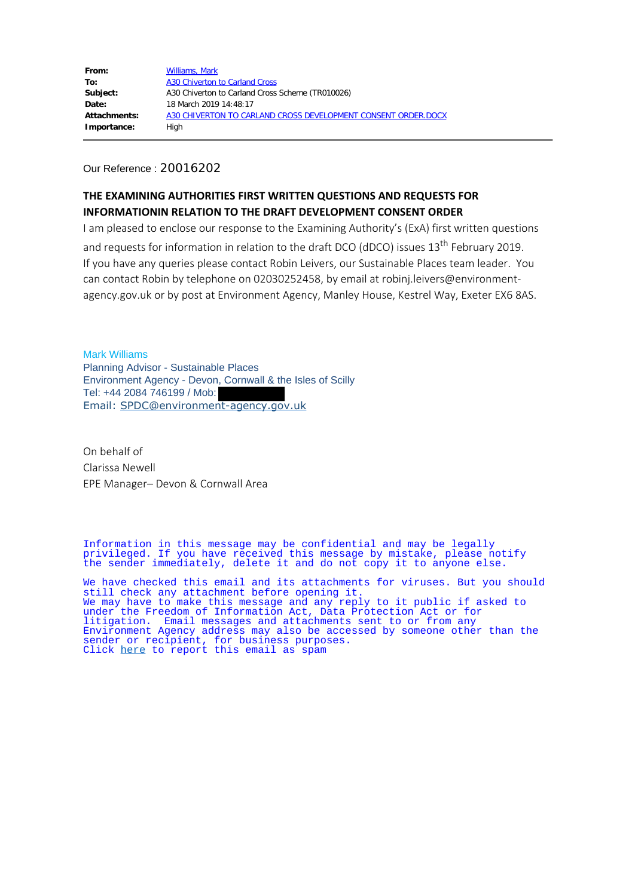Our Reference : 20016202

### **THE EXAMINING AUTHORITIES FIRST WRITTEN QUESTIONS AND REQUESTS FOR INFORMATIONIN RELATION TO THE DRAFT DEVELOPMENT CONSENT ORDER**

I am pleased to enclose our response to the Examining Authority's (ExA) first written questions and requests for information in relation to the draft DCO (dDCO) issues 13<sup>th</sup> February 2019. If you have any queries please contact Robin Leivers, our Sustainable Places team leader. You can contact Robin by telephone on 02030252458, by email at robinj.leivers@environmentagency.gov.uk or by post at Environment Agency, Manley House, Kestrel Way, Exeter EX6 8AS.

Mark Williams Planning Advisor - Sustainable Places Environment Agency - Devon, Cornwall & the Isles of Scilly Tel: +44 2084 746199 / Mob: Email: SPDC@environment-agency.gov.uk

On behalf of Clarissa Newell EPE Manager– Devon & Cornwall Area

Information in this message may be confidential and may be legally privileged. If you have received this message by mistake, please notify the sender immediately, delete it and do not copy it to anyone else.

We have checked this email and its attachments for viruses. But you should still check any attachment before opening it. We may have to make this message and any reply to it public if asked to under the Freedom of Information Act, Data Protection Act or for litigation. Email messages and attachments sent to or from any Environment Agency address may also be accessed by someone other than the sender or recipient, for business purposes. Click <u>here</u> to report this email as spam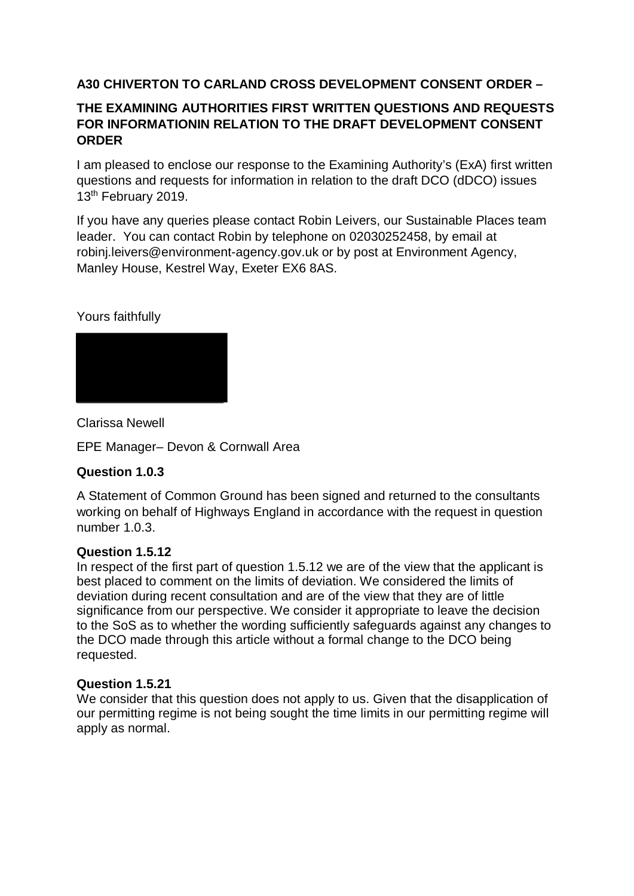# **A30 CHIVERTON TO CARLAND CROSS DEVELOPMENT CONSENT ORDER –**

# **THE EXAMINING AUTHORITIES FIRST WRITTEN QUESTIONS AND REQUESTS FOR INFORMATIONIN RELATION TO THE DRAFT DEVELOPMENT CONSENT ORDER**

I am pleased to enclose our response to the Examining Authority's (ExA) first written questions and requests for information in relation to the draft DCO (dDCO) issues 13<sup>th</sup> February 2019.

If you have any queries please contact Robin Leivers, our Sustainable Places team leader. You can contact Robin by telephone on 02030252458, by email at robinj.leivers@environment-agency.gov.uk or by post at Environment Agency, Manley House, Kestrel Way, Exeter EX6 8AS.

# Yours faithfully



Clarissa Newell

EPE Manager– Devon & Cornwall Area

# **Question 1.0.3**

A Statement of Common Ground has been signed and returned to the consultants working on behalf of Highways England in accordance with the request in question number 1.0.3.

## **Question 1.5.12**

In respect of the first part of question 1.5.12 we are of the view that the applicant is best placed to comment on the limits of deviation. We considered the limits of deviation during recent consultation and are of the view that they are of little significance from our perspective. We consider it appropriate to leave the decision to the SoS as to whether the wording sufficiently safeguards against any changes to the DCO made through this article without a formal change to the DCO being requested.

## **Question 1.5.21**

We consider that this question does not apply to us. Given that the disapplication of our permitting regime is not being sought the time limits in our permitting regime will apply as normal.